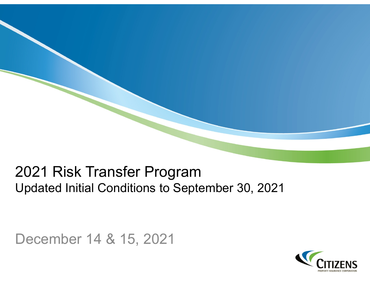# 2021 Risk Transfer Program Updated Initial Conditions to September 30, 2021

December 14 & 15, 2021

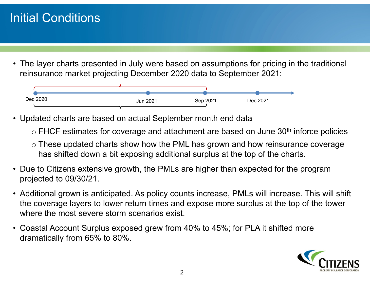### Initial Conditions

• The layer charts presented in July were based on assumptions for pricing in the traditional reinsurance market projecting December 2020 data to September 2021:



- Updated charts are based on actual September month end data
	- $\circ$  FHCF estimates for coverage and attachment are based on June 30 $^{\rm th}$  inforce policies
	- $\circ$  These updated charts show how the PML has grown and how reinsurance coverage has shifted down a bit exposing additional surplus at the top of the charts.
- Due to Citizens extensive growth, the PMLs are higher than expected for the program projected to 09/30/21.
- Additional grown is anticipated. As policy counts increase, PMLs will increase. This will shift the coverage layers to lower return times and expose more surplus at the top of the tower where the most severe storm scenarios exist.
- Coastal Account Surplus exposed grew from 40% to 45%; for PLA it shifted more dramatically from 65% to 80%.

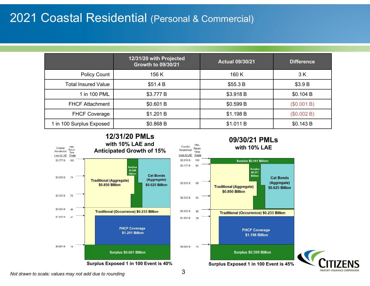#### 2021 Coastal Residential (Personal & Commercial)

|                            | 12/31/20 with Projected<br><b>Growth to 09/30/21</b> | <b>Actual 09/30/21</b> | <b>Difference</b> |
|----------------------------|------------------------------------------------------|------------------------|-------------------|
| <b>Policy Count</b>        | 156 K                                                | 160 K                  | 3 K               |
| <b>Total Insured Value</b> | \$51.4 B                                             | \$55.3 B               | \$3.9 B           |
| 1 in 100 PML               | \$3.777 B                                            | \$3.918 B              | \$0.104 B         |
| <b>FHCF Attachment</b>     | \$0.601 B                                            | \$0.599 B              | (\$0.001 B)       |
| <b>FHCF Coverage</b>       | \$1.201 B                                            | \$1.198 B              | (\$0.002 B)       |
| 1 in 100 Surplus Exposed   | \$0.868 B                                            | \$1.011 B              | \$0.143 B         |



*Not drawn to scale; values may not add due to rounding*

PROPERTY INSURANCE CORPORATI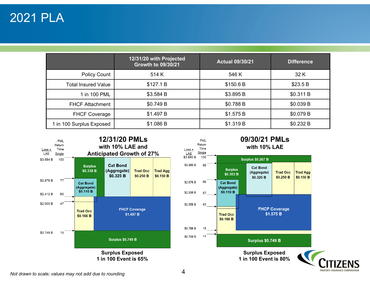|                            | 12/31/20 with Projected<br><b>Growth to 09/30/21</b> | <b>Actual 09/30/21</b> | <b>Difference</b> |
|----------------------------|------------------------------------------------------|------------------------|-------------------|
| <b>Policy Count</b>        | 514 K                                                | 546 K                  | 32 K              |
| <b>Total Insured Value</b> | \$127.1 B                                            | \$150.6 B              | \$23.5 B          |
| 1 in 100 PML               | \$3.584 B                                            | \$3.895 B              | \$0.311 B         |
| <b>FHCF Attachment</b>     | \$0.749 B                                            | \$0.788 B              | \$0.039 B         |
| <b>FHCF Coverage</b>       | \$1.497 B                                            | \$1.575 B              | \$0.079 B         |
| 1 in 100 Surplus Exposed   | \$1.086 B                                            | \$1.319 B              | \$0.232 B         |



PROPERTY INSURANCE CORPORATIO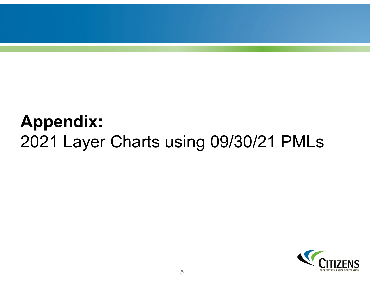# **Appendix:**  2021 Layer Charts using 09/30/21 PMLs

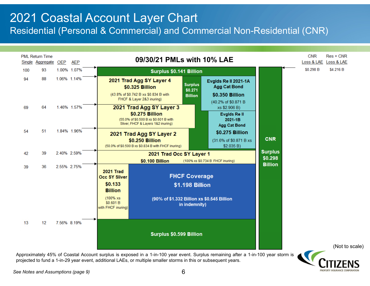# 2021 Coastal Account Layer Chart

Residential (Personal & Commercial) and Commercial Non-Residential (CNR)



Approximately 45% of Coastal Account surplus is exposed in <sup>a</sup> 1-in-100 year event. Surplus remaining after <sup>a</sup> 1-in-100 year storm is projected to fund <sup>a</sup> 1-in-29 year event, additional LAEs, or multiple smaller storms in this or subsequent years.

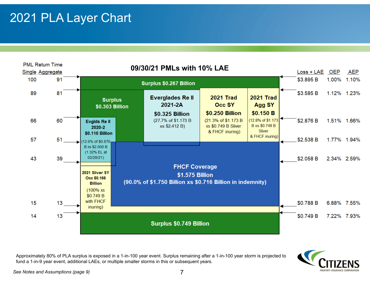### 2021 PLA Layer Chart



Approximately 80% of PLA surplus is exposed in <sup>a</sup> 1-in-100 year event. Surplus remaining after <sup>a</sup> 1-in-100 year storm is projected to fund <sup>a</sup> 1-in-9 year event, additional LAEs, or multiple smaller storms in this or subsequent years.



*See Notes and Assumptions (page 9)* 7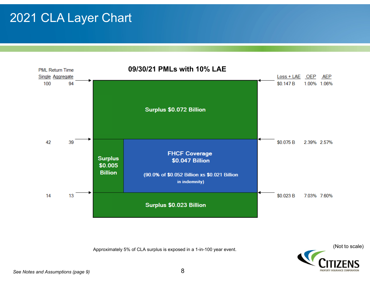### 2021 CLA Layer Chart



(Not to scale) Approximately 5% of CLA surplus is exposed in <sup>a</sup> 1-in-100 year event.